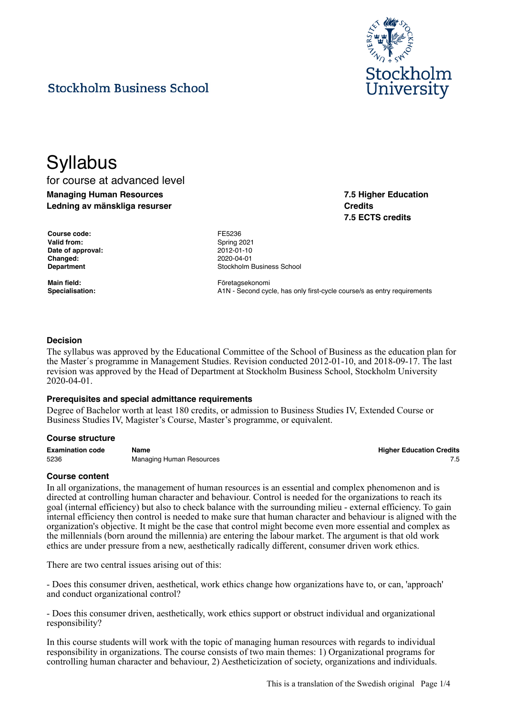

**7.5 Higher Education**

**7.5 ECTS credits**

**Credits**

# **Stockholm Business School**

# **Syllabus**

for course at advanced level **Managing Human Resources Ledning av mänskliga resurser**

**Course code:** FE5236 Valid from: Spring 2021 **Date of approval:** 2012-01-10 **Changed:** 2020-04-01

**Department Constanting Constanting Constanting Constanting Constanting Constanting Constanting Constanting Constanting Constanting Constanting Constanting Constanting Constanting Constanting Constanting Constanting Cons** 

Main field: **Main field: Företagsekonomi** Specialisation: **A1N** - Second cycle, has only first-cycle course/s as entry requirements

### **Decision**

The syllabus was approved by the Educational Committee of the School of Business as the education plan for the Master´s programme in Management Studies. Revision conducted 2012-01-10, and 2018-09-17. The last revision was approved by the Head of Department at Stockholm Business School, Stockholm University 2020-04-01.

#### **Prerequisites and special admittance requirements**

Degree of Bachelor worth at least 180 credits, or admission to Business Studies IV, Extended Course or Business Studies IV, Magister's Course, Master's programme, or equivalent.

#### **Course structure**

**Examination code Name Higher Education Credits** 5236 **Managing Human Resources** 7.5

#### **Course content**

In all organizations, the management of human resources is an essential and complex phenomenon and is directed at controlling human character and behaviour. Control is needed for the organizations to reach its goal (internal efficiency) but also to check balance with the surrounding milieu - external efficiency. To gain internal efficiency then control is needed to make sure that human character and behaviour is aligned with the organization's objective. It might be the case that control might become even more essential and complex as the millennials (born around the millennia) are entering the labour market. The argument is that old work ethics are under pressure from a new, aesthetically radically different, consumer driven work ethics.

There are two central issues arising out of this:

- Does this consumer driven, aesthetical, work ethics change how organizations have to, or can, 'approach' and conduct organizational control?

- Does this consumer driven, aesthetically, work ethics support or obstruct individual and organizational responsibility?

In this course students will work with the topic of managing human resources with regards to individual responsibility in organizations. The course consists of two main themes: 1) Organizational programs for controlling human character and behaviour, 2) Aestheticization of society, organizations and individuals.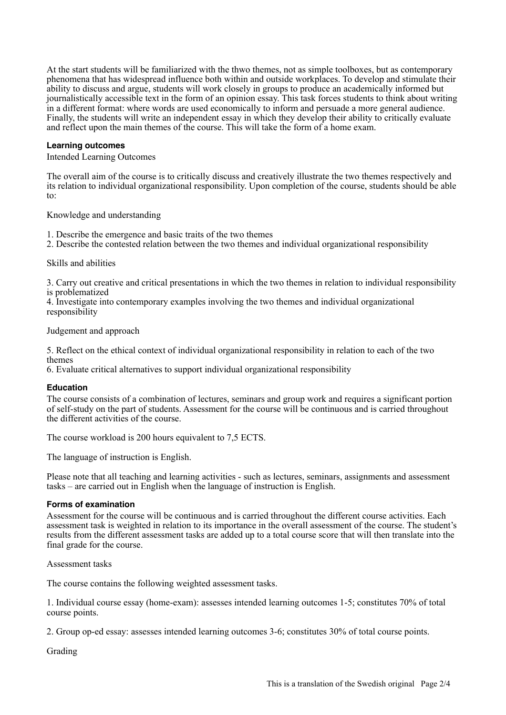At the start students will be familiarized with the thwo themes, not as simple toolboxes, but as contemporary phenomena that has widespread influence both within and outside workplaces. To develop and stimulate their ability to discuss and argue, students will work closely in groups to produce an academically informed but journalistically accessible text in the form of an opinion essay. This task forces students to think about writing in a different format: where words are used economically to inform and persuade a more general audience. Finally, the students will write an independent essay in which they develop their ability to critically evaluate and reflect upon the main themes of the course. This will take the form of a home exam.

### **Learning outcomes**

Intended Learning Outcomes

The overall aim of the course is to critically discuss and creatively illustrate the two themes respectively and its relation to individual organizational responsibility. Upon completion of the course, students should be able to:

Knowledge and understanding

1. Describe the emergence and basic traits of the two themes

2. Describe the contested relation between the two themes and individual organizational responsibility

#### Skills and abilities

3. Carry out creative and critical presentations in which the two themes in relation to individual responsibility is problematized

4. Investigate into contemporary examples involving the two themes and individual organizational responsibility

Judgement and approach

5. Reflect on the ethical context of individual organizational responsibility in relation to each of the two themes

6. Evaluate critical alternatives to support individual organizational responsibility

#### **Education**

The course consists of a combination of lectures, seminars and group work and requires a significant portion of self-study on the part of students. Assessment for the course will be continuous and is carried throughout the different activities of the course.

The course workload is 200 hours equivalent to 7,5 ECTS.

The language of instruction is English.

Please note that all teaching and learning activities - such as lectures, seminars, assignments and assessment tasks – are carried out in English when the language of instruction is English.

#### **Forms of examination**

Assessment for the course will be continuous and is carried throughout the different course activities. Each assessment task is weighted in relation to its importance in the overall assessment of the course. The student's results from the different assessment tasks are added up to a total course score that will then translate into the final grade for the course.

Assessment tasks

The course contains the following weighted assessment tasks.

1. Individual course essay (home-exam): assesses intended learning outcomes 1-5; constitutes 70% of total course points.

2. Group op-ed essay: assesses intended learning outcomes 3-6; constitutes 30% of total course points.

Grading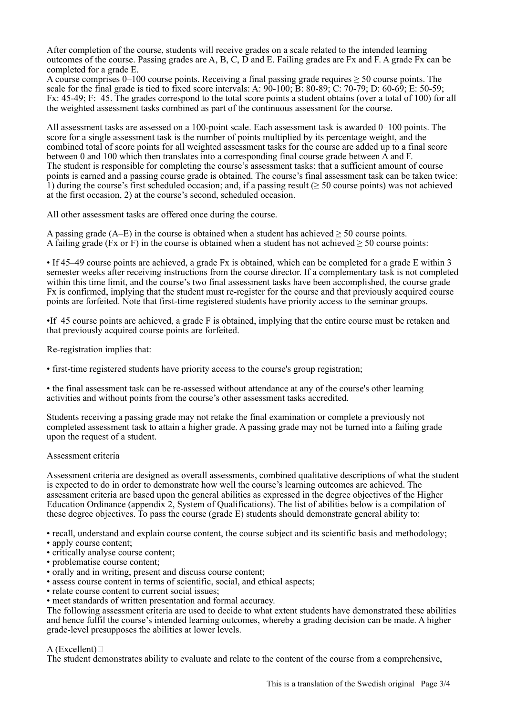After completion of the course, students will receive grades on a scale related to the intended learning outcomes of the course. Passing grades are A, B, C, D and E. Failing grades are Fx and F. A grade Fx can be completed for a grade E.

A course comprises 0–100 course points. Receiving a final passing grade requires  $\geq$  50 course points. The scale for the final grade is tied to fixed score intervals: A: 90-100; B: 80-89; C: 70-79; D: 60-69; E: 50-59; Fx: 45-49; F: 45. The grades correspond to the total score points a student obtains (over a total of 100) for all the weighted assessment tasks combined as part of the continuous assessment for the course.

All assessment tasks are assessed on a 100-point scale. Each assessment task is awarded 0–100 points. The score for a single assessment task is the number of points multiplied by its percentage weight, and the combined total of score points for all weighted assessment tasks for the course are added up to a final score between 0 and 100 which then translates into a corresponding final course grade between A and F. The student is responsible for completing the course's assessment tasks: that a sufficient amount of course points is earned and a passing course grade is obtained. The course's final assessment task can be taken twice: 1) during the course's first scheduled occasion; and, if a passing result (≥ 50 course points) was not achieved at the first occasion, 2) at the course's second, scheduled occasion.

All other assessment tasks are offered once during the course.

A passing grade  $(A-E)$  in the course is obtained when a student has achieved  $\geq 50$  course points. A failing grade (Fx or F) in the course is obtained when a student has not achieved  $\geq 50$  course points:

• If 45–49 course points are achieved, a grade Fx is obtained, which can be completed for a grade E within 3 semester weeks after receiving instructions from the course director. If a complementary task is not completed within this time limit, and the course's two final assessment tasks have been accomplished, the course grade Fx is confirmed, implying that the student must re-register for the course and that previously acquired course points are forfeited. Note that first-time registered students have priority access to the seminar groups.

•If 45 course points are achieved, a grade F is obtained, implying that the entire course must be retaken and that previously acquired course points are forfeited.

Re-registration implies that:

• first-time registered students have priority access to the course's group registration;

• the final assessment task can be re-assessed without attendance at any of the course's other learning activities and without points from the course's other assessment tasks accredited.

Students receiving a passing grade may not retake the final examination or complete a previously not completed assessment task to attain a higher grade. A passing grade may not be turned into a failing grade upon the request of a student.

# Assessment criteria

Assessment criteria are designed as overall assessments, combined qualitative descriptions of what the student is expected to do in order to demonstrate how well the course's learning outcomes are achieved. The assessment criteria are based upon the general abilities as expressed in the degree objectives of the Higher Education Ordinance (appendix 2, System of Qualifications). The list of abilities below is a compilation of these degree objectives. To pass the course (grade E) students should demonstrate general ability to:

• recall, understand and explain course content, the course subject and its scientific basis and methodology;

- apply course content;
- critically analyse course content;
- problematise course content;
- orally and in writing, present and discuss course content;
- assess course content in terms of scientific, social, and ethical aspects;
- relate course content to current social issues;
- meet standards of written presentation and formal accuracy.

The following assessment criteria are used to decide to what extent students have demonstrated these abilities and hence fulfil the course's intended learning outcomes, whereby a grading decision can be made. A higher grade-level presupposes the abilities at lower levels.

# $A$  (Excellent) $\Box$

The student demonstrates ability to evaluate and relate to the content of the course from a comprehensive,